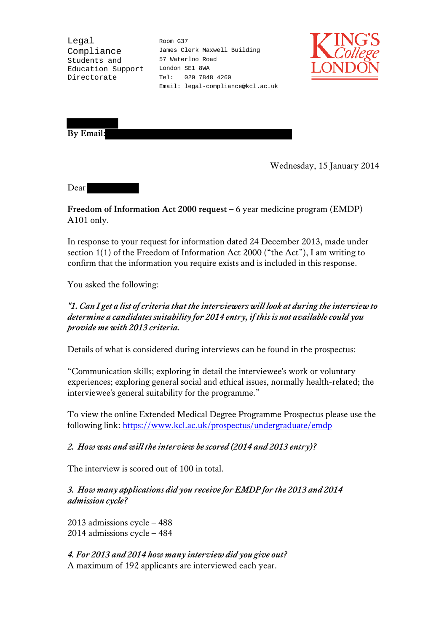Legal Compliance Students and Education Support Directorate

Room G37 James Clerk Maxwell Building 57 Waterloo Road London SE1 8WA Tel: 020 7848 4260 Email: legal-compliance@kcl.ac.uk



**By Email:**

Wednesday, 15 January 2014

Dear

**Freedom of Information Act 2000 request –** 6 year medicine program (EMDP) A101 only.

In response to your request for information dated 24 December 2013, made under section 1(1) of the Freedom of Information Act 2000 ("the Act"), I am writing to confirm that the information you require exists and is included in this response.

You asked the following:

*"1. Can I get a list of criteria that the interviewers will look at during the interview to determine a candidates suitability for 2014 entry, if this is not available could you provide me with 2013 criteria.*

Details of what is considered during interviews can be found in the prospectus:

"Communication skills; exploring in detail the interviewee's work or voluntary experiences; exploring general social and ethical issues, normally health-related; the interviewee's general suitability for the programme."

To view the online Extended Medical Degree Programme Prospectus please use the following link:<https://www.kcl.ac.uk/prospectus/undergraduate/emdp>

## *2. How was and will the interview be scored (2014 and 2013 entry)?*

The interview is scored out of 100 in total.

*3. How many applications did you receive for EMDP for the 2013 and 2014 admission cycle?*

2013 admissions cycle – 488 2014 admissions cycle – 484

*4. For 2013 and 2014 how many interview did you give out?* A maximum of 192 applicants are interviewed each year.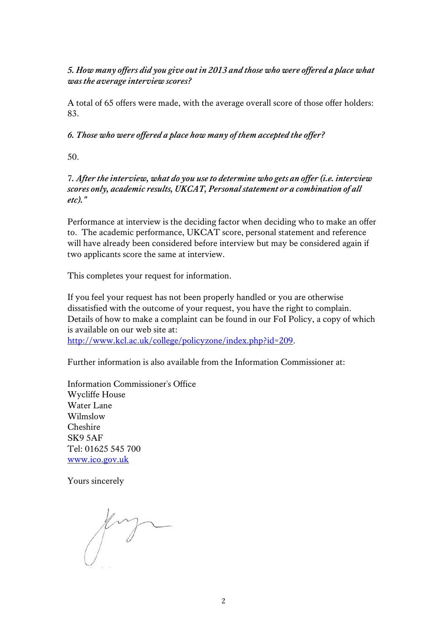## *5. How many offers did you give out in 2013 and those who were offered a place what was the average interview scores?*

A total of 65 offers were made, with the average overall score of those offer holders: 83.

*6. Those who were offered a place how many of them accepted the offer?*

50.

7*. After the interview, what do you use to determine who gets an offer (i.e. interview scores only, academic results, UKCAT, Personal statement or a combination of all etc)."*

Performance at interview is the deciding factor when deciding who to make an offer to. The academic performance, UKCAT score, personal statement and reference will have already been considered before interview but may be considered again if two applicants score the same at interview.

This completes your request for information.

If you feel your request has not been properly handled or you are otherwise dissatisfied with the outcome of your request, you have the right to complain. Details of how to make a complaint can be found in our FoI Policy, a copy of which is available on our web site at:

[http://www.kcl.ac.uk/college/policyzone/index.php?id=209.](http://www.kcl.ac.uk/college/policyzone/index.php?id=209)

Further information is also available from the Information Commissioner at:

Information Commissioner's Office Wycliffe House Water Lane Wilmslow Cheshire SK9 5AF Tel: 01625 545 700 [www.ico.gov.uk](http://www.ico.gov.uk/) 

Yours sincerely

fing